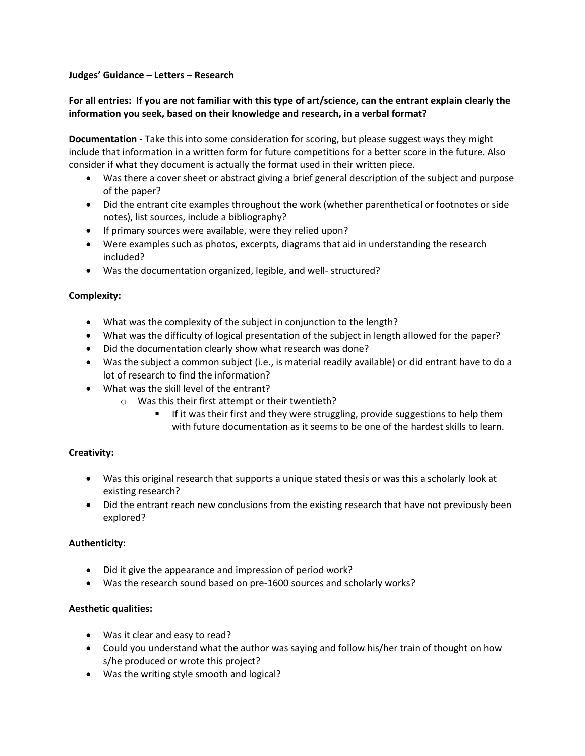### **Judges' Guidance – Letters – Research**

# **For all entries: If you are not familiar with this type of art/science, can the entrant explain clearly the information you seek, based on their knowledge and research, in a verbal format?**

**Documentation -** Take this into some consideration for scoring, but please suggest ways they might include that information in a written form for future competitions for a better score in the future. Also consider if what they document is actually the format used in their written piece.

- Was there a cover sheet or abstract giving a brief general description of the subject and purpose of the paper?
- Did the entrant cite examples throughout the work (whether parenthetical or footnotes or side notes), list sources, include a bibliography?
- If primary sources were available, were they relied upon?
- Were examples such as photos, excerpts, diagrams that aid in understanding the research included?
- Was the documentation organized, legible, and well- structured?

# **Complexity:**

- What was the complexity of the subject in conjunction to the length?
- What was the difficulty of logical presentation of the subject in length allowed for the paper?
- Did the documentation clearly show what research was done?
- Was the subject a common subject (i.e., is material readily available) or did entrant have to do a lot of research to find the information?
- What was the skill level of the entrant?
	- o Was this their first attempt or their twentieth?
		- **If it was their first and they were struggling, provide suggestions to help them** with future documentation as it seems to be one of the hardest skills to learn.

# **Creativity:**

- Was this original research that supports a unique stated thesis or was this a scholarly look at existing research?
- Did the entrant reach new conclusions from the existing research that have not previously been explored?

# **Authenticity:**

- Did it give the appearance and impression of period work?
- Was the research sound based on pre-1600 sources and scholarly works?

### **Aesthetic qualities:**

- Was it clear and easy to read?
- Could you understand what the author was saying and follow his/her train of thought on how s/he produced or wrote this project?
- Was the writing style smooth and logical?